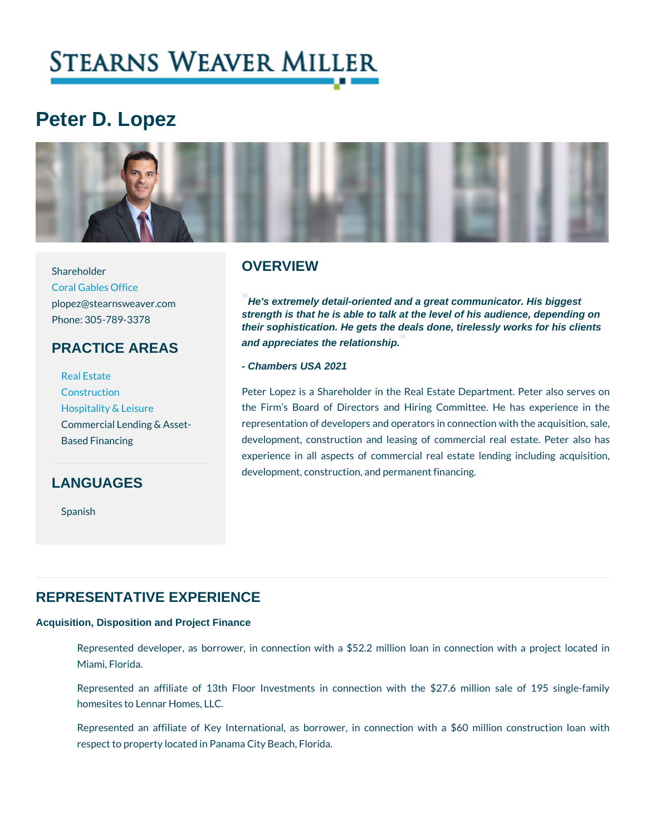# Peter D. Lopez

Shareholder

[Coral Gable](https://www.stearnsweaver.com/offices/coral-gables/)s Office

Phone: 305-789-3378

### PRACTICE AREAS

[Real E](http://www.stearnsweaver.com/practices/real-estate)state [Construc](http://www.stearnsweaver.com/practices/construction-law)tion [Hospitality &](http://www.stearnsweaver.com/practices/hospitality-leisure) Leisure Based Financing

### LANGUAGES

Spanish

### **OVERVIEW**

plopez@stearnsweaver.comHe's extremely detail-oriented and a great communicator. His biggest strength is that he is able to talk at the level of his audience, depending on their sophistication. He gets the deals done, tirelessly works for his clients and appreciates the relationship.

- Chambers USA 2021

Commercial Lending & Asseeptesentation of developers and operators in connection Peter Lopez is a Shareholder in the Real Estate Dep the Firm s Board of Directors and Hiring Committee development, construction and leasing of commercial experience in all aspects of commercial real estate development, construction, and permanent financing.

### REPRESENTATIVE EXPERIENCE

Acquisition, Disposition and Project Finance

Represented developer, as borrower, in connection with a \$52.2 million Ic Miami, Florida.

Represented an affiliate of 13th Floor Investments in connection with t homesites to Lennar Homes, LLC.

Represented an affiliate of Key International, as borrower, in connection respect to property located in Panama City Beach, Florida.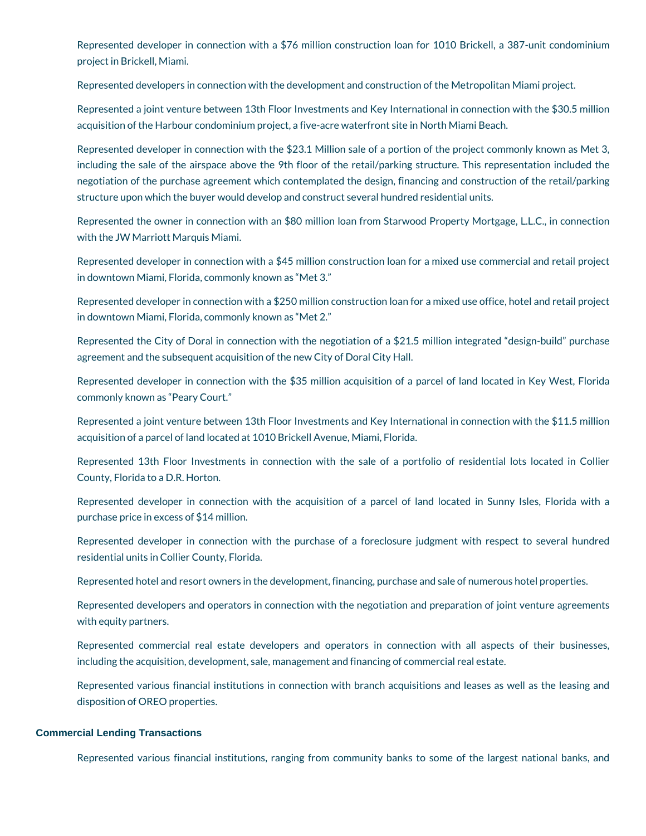Represented developer in connection with a \$76 million construction loan for 1010 Brickell, a 387-unit condominium project in Brickell, Miami.

Represented developers in connection with the development and construction of the Metropolitan Miami project.

Represented a joint venture between 13th Floor Investments and Key International in connection with the \$30.5 million acquisition of the Harbour condominium project, a five-acre waterfront site in North Miami Beach.

Represented developer in connection with the \$23.1 Million sale of a portion of the project commonly known as Met 3, including the sale of the airspace above the 9th floor of the retail/parking structure. This representation included the negotiation of the purchase agreement which contemplated the design, financing and construction of the retail/parking structure upon which the buyer would develop and construct several hundred residential units.

Represented the owner in connection with an \$80 million loan from Starwood Property Mortgage, L.L.C., in connection with the JW Marriott Marquis Miami.

Represented developer in connection with a \$45 million construction loan for a mixed use commercial and retail project in downtown Miami, Florida, commonly known as "Met 3."

Represented developer in connection with a \$250 million construction loan for a mixed use office, hotel and retail project in downtown Miami, Florida, commonly known as "Met 2."

Represented the City of Doral in connection with the negotiation of a \$21.5 million integrated "design-build" purchase agreement and the subsequent acquisition of the new City of Doral City Hall.

Represented developer in connection with the \$35 million acquisition of a parcel of land located in Key West, Florida commonly known as "Peary Court."

Represented a joint venture between 13th Floor Investments and Key International in connection with the \$11.5 million acquisition of a parcel of land located at 1010 Brickell Avenue, Miami, Florida.

Represented 13th Floor Investments in connection with the sale of a portfolio of residential lots located in Collier County, Florida to a D.R. Horton.

Represented developer in connection with the acquisition of a parcel of land located in Sunny Isles, Florida with a purchase price in excess of \$14 million.

Represented developer in connection with the purchase of a foreclosure judgment with respect to several hundred residential units in Collier County, Florida.

Represented hotel and resort owners in the development, financing, purchase and sale of numerous hotel properties.

Represented developers and operators in connection with the negotiation and preparation of joint venture agreements with equity partners.

Represented commercial real estate developers and operators in connection with all aspects of their businesses, including the acquisition, development, sale, management and financing of commercial real estate.

Represented various financial institutions in connection with branch acquisitions and leases as well as the leasing and disposition of OREO properties.

#### **Commercial Lending Transactions**

Represented various financial institutions, ranging from community banks to some of the largest national banks, and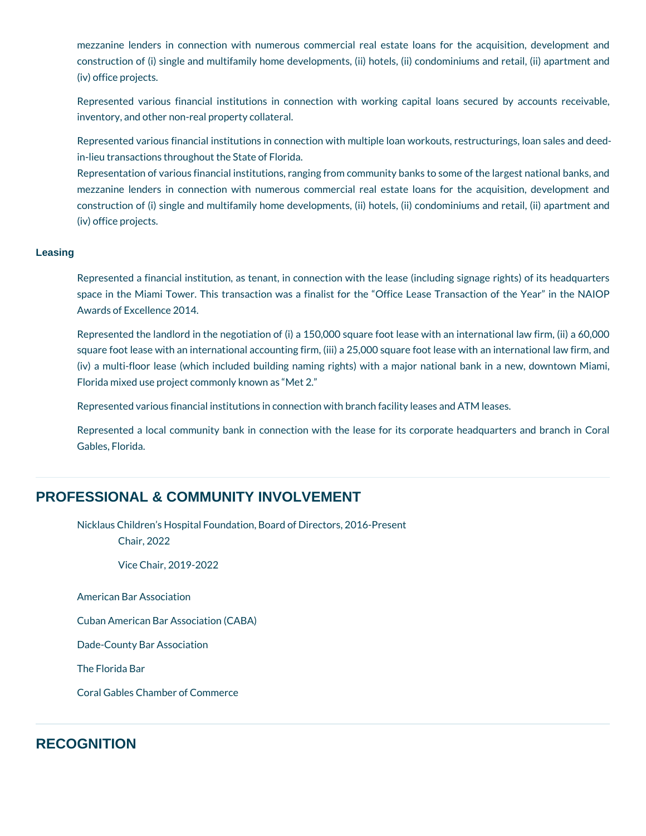mezzanine lenders in connection with numerous commercial real estate loans for the acquisition, development and construction of (i) single and multifamily home developments, (ii) hotels, (ii) condominiums and retail, (ii) apartment and (iv) office projects.

Represented various financial institutions in connection with working capital loans secured by accounts receivable, inventory, and other non-real property collateral.

Represented various financial institutions in connection with multiple loan workouts, restructurings, loan sales and deedin-lieu transactions throughout the State of Florida.

Representation of various financial institutions, ranging from community banks to some of the largest national banks, and mezzanine lenders in connection with numerous commercial real estate loans for the acquisition, development and construction of (i) single and multifamily home developments, (ii) hotels, (ii) condominiums and retail, (ii) apartment and (iv) office projects.

#### **Leasing**

Represented a financial institution, as tenant, in connection with the lease (including signage rights) of its headquarters space in the Miami Tower. This transaction was a finalist for the "Office Lease Transaction of the Year" in the NAIOP Awards of Excellence 2014.

Represented the landlord in the negotiation of (i) a 150,000 square foot lease with an international law firm, (ii) a 60,000 square foot lease with an international accounting firm, (iii) a 25,000 square foot lease with an international law firm, and (iv) a multi-floor lease (which included building naming rights) with a major national bank in a new, downtown Miami, Florida mixed use project commonly known as "Met 2."

Represented various financial institutions in connection with branch facility leases and ATM leases.

Represented a local community bank in connection with the lease for its corporate headquarters and branch in Coral Gables, Florida.

### **PROFESSIONAL & COMMUNITY INVOLVEMENT**

Nicklaus Children's Hospital Foundation, Board of Directors, 2016-Present Chair, 2022

Vice Chair, 2019-2022

American Bar Association

Cuban American Bar Association (CABA)

Dade-County Bar Association

The Florida Bar

Coral Gables Chamber of Commerce

### **RECOGNITION**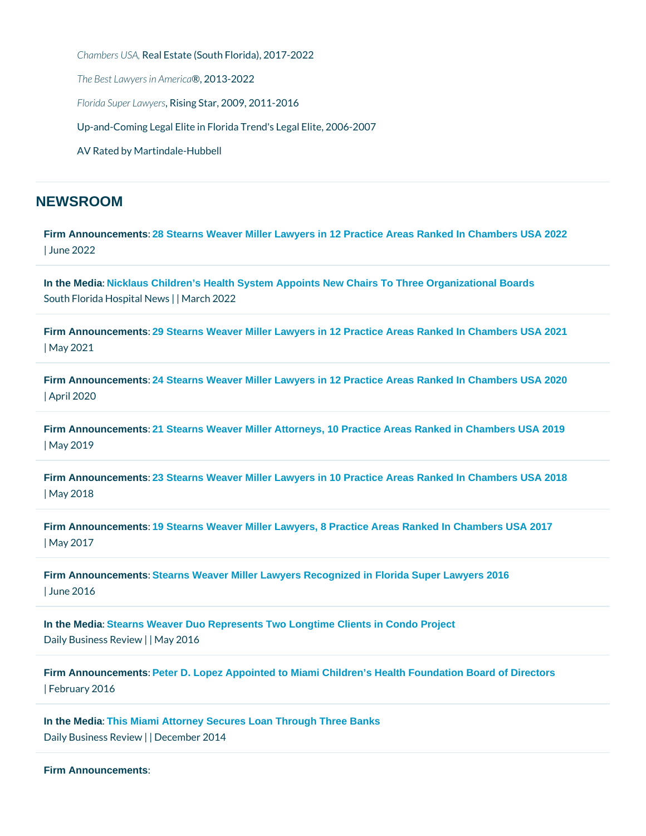```
Chambers RLeSa A, Estate (South Florida), 2017-2022
The Best Lawyer®, in 0A & e2022
Florida Super Riaswing restar, 2009, 2011-2016
Up-and-Coming Legal Elite in Florida Trend's Legal Elite, 2006-2007
AV Rated by Martindale-Hubbell
```
### NEWSROOM

[Firm Announcements](/blog/category/firm-announcements/) [: 28 Stearns Weaver Miller Lawyers in 12 Practice Areas Ranked In Chambers USA 2022](https://www.stearnsweaver.com/files/Stearns Weaver Miller Chambers 2022_2.pdf) | June 2022

[In the Media](/blog/category/in-the-media/) [: Nicklaus Children's Health System Appoints New Chairs To Three Organizational Boards](https://southfloridahospitalnews.com/nicklaus-childrens-health-system-appoints-new-chairs-to-three-organizational-boards/) South Florida HospilMadrolle w2922

[Firm Announcements](/blog/category/firm-announcements/) [: 29 Stearns Weaver Miller Lawyers in 12 Practice Areas Ranked In Chambers USA 2021](https://www.stearnsweaver.com/files/29 Stearns Weaver Miller Lawyers in 12 Practice Areas Ranked In Chambers USA 2021.pdf) | May 2021

[Firm Announcements](/blog/category/firm-announcements/) [: 24 Stearns Weaver Miller Lawyers in 12 Practice Areas Ranked In Chambers USA 2020](https://www.stearnsweaver.com/files/24 Stearns Weaver Miller Lawyers in 12 Practice Areas Ranked In Chambers USA 2020_.pdf) | April 2020

[Firm Announcements](/blog/category/firm-announcements/) [: 21 Stearns Weaver Miller Attorneys, 10 Practice Areas Ranked in Chambers USA 2019](https://www.stearnsweaver.com/files/21 Stearns Weaver Miller Lawyers in 10 Practice Areas Ranked In Chambers USA 2019.pdf) | May 2019

[Firm Announcements](/blog/category/firm-announcements/) [: 23 Stearns Weaver Miller Lawyers in 10 Practice Areas Ranked In Chambers USA 2018](http://www.stearnsweaver.com/files/2018 Chambers USA.pdf) | May 2018

[Firm Announcements](/blog/category/firm-announcements/) [: 19 Stearns Weaver Miller Lawyers, 8 Practice Areas Ranked In Chambers USA 2017](http://www.stearnsweaver.com/files/2017_19 Stearns Weaver Miller Lawyers, 8 Practice Areas Ranked In Chambers USA .pdf) | May 2017

[Firm Announcements](/blog/category/firm-announcements/) [: Stearns Weaver Miller Lawyers Recognized in Florida Super Lawyers 2016](http://www.stearnsweaver.com/files/Stearns Weaver Miller Lawyers Recognized in Florida Super Lawyers 2016 .pdf)  | June 2016

[In the Media](/blog/category/in-the-media/) [: Stearns Weaver Duo Represents Two Longtime Clients in Condo Project](http://www.dailybusinessreview.com/home/id=1202756615254?kw=Stearns Weaver Duo Represents Two Longtime Clients in Condo Project&cn=2) Daily Business | RMeavy e2n0 16

[Firm Announcements](/blog/category/firm-announcements/) [: Peter D. Lopez Appointed to Miami Children's Health Foundation Board of Directors](http://www.stearnsweaver.com/files/Peter D. Lopez Appointed to Miami Children’s Health Foundation Board of Directors.pdf) | February 2016

[In the Media](/blog/category/in-the-media/) [: This Miami Attorney Secures Loan Through Three Banks](http://www.dailybusinessreview.com/id=1202677830756/This-Miami-Attorney-Secures-Loan-Through-Three-Banks#ixzz3KmPANQWV) Daily Business | Review ber 2014

```
Firm Announcements :
```